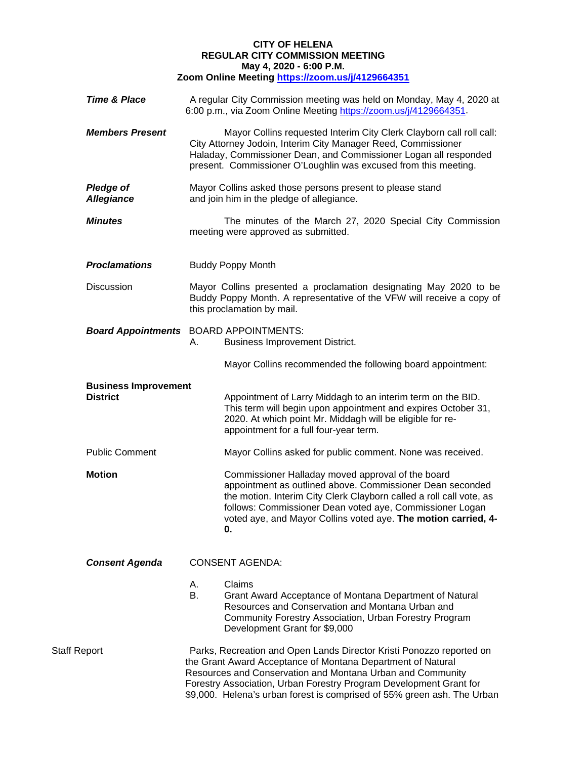## **CITY OF HELENA REGULAR CITY COMMISSION MEETING May 4, 2020 - 6:00 P.M. Zoom Online Meeting<https://zoom.us/j/4129664351>**

| <b>Time &amp; Place</b>                        | A regular City Commission meeting was held on Monday, May 4, 2020 at<br>6:00 p.m., via Zoom Online Meeting https://zoom.us/j/4129664351.                                                                                                                                                                                                           |
|------------------------------------------------|----------------------------------------------------------------------------------------------------------------------------------------------------------------------------------------------------------------------------------------------------------------------------------------------------------------------------------------------------|
| <b>Members Present</b>                         | Mayor Collins requested Interim City Clerk Clayborn call roll call:<br>City Attorney Jodoin, Interim City Manager Reed, Commissioner<br>Haladay, Commissioner Dean, and Commissioner Logan all responded<br>present. Commissioner O'Loughlin was excused from this meeting.                                                                        |
| <b>Pledge of</b><br><b>Allegiance</b>          | Mayor Collins asked those persons present to please stand<br>and join him in the pledge of allegiance.                                                                                                                                                                                                                                             |
| <b>Minutes</b>                                 | The minutes of the March 27, 2020 Special City Commission<br>meeting were approved as submitted.                                                                                                                                                                                                                                                   |
| <b>Proclamations</b>                           | <b>Buddy Poppy Month</b>                                                                                                                                                                                                                                                                                                                           |
| Discussion                                     | Mayor Collins presented a proclamation designating May 2020 to be<br>Buddy Poppy Month. A representative of the VFW will receive a copy of<br>this proclamation by mail.                                                                                                                                                                           |
|                                                | <b>Board Appointments</b> BOARD APPOINTMENTS:<br><b>Business Improvement District.</b><br>А.                                                                                                                                                                                                                                                       |
|                                                | Mayor Collins recommended the following board appointment:                                                                                                                                                                                                                                                                                         |
| <b>Business Improvement</b><br><b>District</b> | Appointment of Larry Middagh to an interim term on the BID.<br>This term will begin upon appointment and expires October 31,<br>2020. At which point Mr. Middagh will be eligible for re-<br>appointment for a full four-year term.                                                                                                                |
| <b>Public Comment</b>                          | Mayor Collins asked for public comment. None was received.                                                                                                                                                                                                                                                                                         |
| <b>Motion</b>                                  | Commissioner Halladay moved approval of the board<br>appointment as outlined above. Commissioner Dean seconded<br>the motion. Interim City Clerk Clayborn called a roll call vote, as<br>follows: Commissioner Dean voted aye, Commissioner Logan<br>voted aye, and Mayor Collins voted aye. The motion carried, 4-<br>0.                          |
| <b>Consent Agenda</b>                          | <b>CONSENT AGENDA:</b>                                                                                                                                                                                                                                                                                                                             |
|                                                | Claims<br>А.<br>B.<br>Grant Award Acceptance of Montana Department of Natural<br>Resources and Conservation and Montana Urban and<br>Community Forestry Association, Urban Forestry Program<br>Development Grant for \$9,000                                                                                                                       |
| Staff Report                                   | Parks, Recreation and Open Lands Director Kristi Ponozzo reported on<br>the Grant Award Acceptance of Montana Department of Natural<br>Resources and Conservation and Montana Urban and Community<br>Forestry Association, Urban Forestry Program Development Grant for<br>\$9,000. Helena's urban forest is comprised of 55% green ash. The Urban |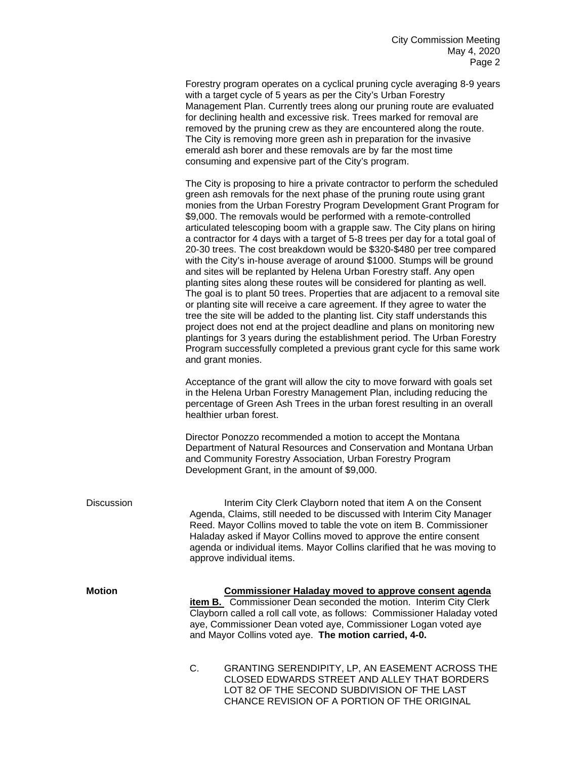Forestry program operates on a cyclical pruning cycle averaging 8-9 years with a target cycle of 5 years as per the City's Urban Forestry Management Plan. Currently trees along our pruning route are evaluated for declining health and excessive risk. Trees marked for removal are removed by the pruning crew as they are encountered along the route. The City is removing more green ash in preparation for the invasive emerald ash borer and these removals are by far the most time consuming and expensive part of the City's program.

The City is proposing to hire a private contractor to perform the scheduled green ash removals for the next phase of the pruning route using grant monies from the Urban Forestry Program Development Grant Program for \$9,000. The removals would be performed with a remote-controlled articulated telescoping boom with a grapple saw. The City plans on hiring a contractor for 4 days with a target of 5-8 trees per day for a total goal of 20-30 trees. The cost breakdown would be \$320-\$480 per tree compared with the City's in-house average of around \$1000. Stumps will be ground and sites will be replanted by Helena Urban Forestry staff. Any open planting sites along these routes will be considered for planting as well. The goal is to plant 50 trees. Properties that are adjacent to a removal site or planting site will receive a care agreement. If they agree to water the tree the site will be added to the planting list. City staff understands this project does not end at the project deadline and plans on monitoring new plantings for 3 years during the establishment period. The Urban Forestry Program successfully completed a previous grant cycle for this same work and grant monies.

Acceptance of the grant will allow the city to move forward with goals set in the Helena Urban Forestry Management Plan, including reducing the percentage of Green Ash Trees in the urban forest resulting in an overall healthier urban forest.

Director Ponozzo recommended a motion to accept the Montana Department of Natural Resources and Conservation and Montana Urban and Community Forestry Association, Urban Forestry Program Development Grant, in the amount of \$9,000.

CHANCE REVISION OF A PORTION OF THE ORIGINAL

| Discussion |    | Interim City Clerk Clayborn noted that item A on the Consent<br>Agenda, Claims, still needed to be discussed with Interim City Manager<br>Reed. Mayor Collins moved to table the vote on item B. Commissioner<br>Haladay asked if Mayor Collins moved to approve the entire consent<br>agenda or individual items. Mayor Collins clarified that he was moving to<br>approve individual items. |  |
|------------|----|-----------------------------------------------------------------------------------------------------------------------------------------------------------------------------------------------------------------------------------------------------------------------------------------------------------------------------------------------------------------------------------------------|--|
| Motion     |    | <b>Commissioner Haladay moved to approve consent agenda</b><br><b>item B.</b> Commissioner Dean seconded the motion. Interim City Clerk<br>Clayborn called a roll call vote, as follows: Commissioner Haladay voted<br>aye, Commissioner Dean voted aye, Commissioner Logan voted aye<br>and Mayor Collins voted aye. The motion carried, 4-0.                                                |  |
|            | C. | GRANTING SERENDIPITY, LP, AN EASEMENT ACROSS THE<br>CLOSED EDWARDS STREET AND ALLEY THAT BORDERS<br>LOT 82 OF THE SECOND SUBDIVISION OF THE LAST                                                                                                                                                                                                                                              |  |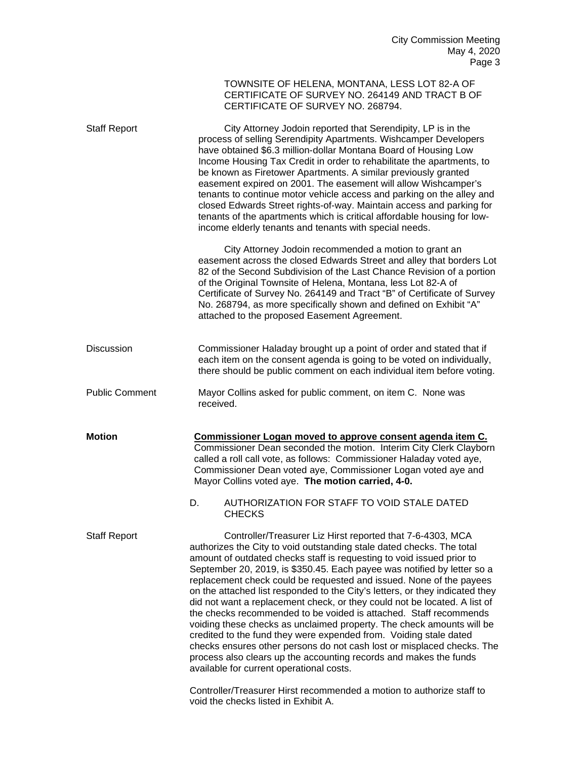|                       |    | TOWNSITE OF HELENA, MONTANA, LESS LOT 82-A OF<br>CERTIFICATE OF SURVEY NO. 264149 AND TRACT B OF<br>CERTIFICATE OF SURVEY NO. 268794.                                                                                                                                                                                                                                                                                                                                                                                                                                                                                                                                                                                                                                                                                                                                                                                                     |  |
|-----------------------|----|-------------------------------------------------------------------------------------------------------------------------------------------------------------------------------------------------------------------------------------------------------------------------------------------------------------------------------------------------------------------------------------------------------------------------------------------------------------------------------------------------------------------------------------------------------------------------------------------------------------------------------------------------------------------------------------------------------------------------------------------------------------------------------------------------------------------------------------------------------------------------------------------------------------------------------------------|--|
| <b>Staff Report</b>   |    | City Attorney Jodoin reported that Serendipity, LP is in the<br>process of selling Serendipity Apartments. Wishcamper Developers<br>have obtained \$6.3 million-dollar Montana Board of Housing Low<br>Income Housing Tax Credit in order to rehabilitate the apartments, to<br>be known as Firetower Apartments. A similar previously granted<br>easement expired on 2001. The easement will allow Wishcamper's<br>tenants to continue motor vehicle access and parking on the alley and<br>closed Edwards Street rights-of-way. Maintain access and parking for<br>tenants of the apartments which is critical affordable housing for low-<br>income elderly tenants and tenants with special needs.                                                                                                                                                                                                                                    |  |
|                       |    | City Attorney Jodoin recommended a motion to grant an<br>easement across the closed Edwards Street and alley that borders Lot<br>82 of the Second Subdivision of the Last Chance Revision of a portion<br>of the Original Townsite of Helena, Montana, less Lot 82-A of<br>Certificate of Survey No. 264149 and Tract "B" of Certificate of Survey<br>No. 268794, as more specifically shown and defined on Exhibit "A"<br>attached to the proposed Easement Agreement.                                                                                                                                                                                                                                                                                                                                                                                                                                                                   |  |
| <b>Discussion</b>     |    | Commissioner Haladay brought up a point of order and stated that if<br>each item on the consent agenda is going to be voted on individually,<br>there should be public comment on each individual item before voting.                                                                                                                                                                                                                                                                                                                                                                                                                                                                                                                                                                                                                                                                                                                     |  |
| <b>Public Comment</b> |    | Mayor Collins asked for public comment, on item C. None was<br>received.                                                                                                                                                                                                                                                                                                                                                                                                                                                                                                                                                                                                                                                                                                                                                                                                                                                                  |  |
| <b>Motion</b>         |    | Commissioner Logan moved to approve consent agenda item C.<br>Commissioner Dean seconded the motion. Interim City Clerk Clayborn<br>called a roll call vote, as follows: Commissioner Haladay voted aye,<br>Commissioner Dean voted aye, Commissioner Logan voted aye and<br>Mayor Collins voted aye. The motion carried, 4-0.                                                                                                                                                                                                                                                                                                                                                                                                                                                                                                                                                                                                            |  |
|                       | D. | AUTHORIZATION FOR STAFF TO VOID STALE DATED<br><b>CHECKS</b>                                                                                                                                                                                                                                                                                                                                                                                                                                                                                                                                                                                                                                                                                                                                                                                                                                                                              |  |
| <b>Staff Report</b>   |    | Controller/Treasurer Liz Hirst reported that 7-6-4303, MCA<br>authorizes the City to void outstanding stale dated checks. The total<br>amount of outdated checks staff is requesting to void issued prior to<br>September 20, 2019, is \$350.45. Each payee was notified by letter so a<br>replacement check could be requested and issued. None of the payees<br>on the attached list responded to the City's letters, or they indicated they<br>did not want a replacement check, or they could not be located. A list of<br>the checks recommended to be voided is attached. Staff recommends<br>voiding these checks as unclaimed property. The check amounts will be<br>credited to the fund they were expended from. Voiding stale dated<br>checks ensures other persons do not cash lost or misplaced checks. The<br>process also clears up the accounting records and makes the funds<br>available for current operational costs. |  |
|                       |    | Controller/Treasurer Hirst recommended a motion to authorize staff to<br>void the checks listed in Exhibit A.                                                                                                                                                                                                                                                                                                                                                                                                                                                                                                                                                                                                                                                                                                                                                                                                                             |  |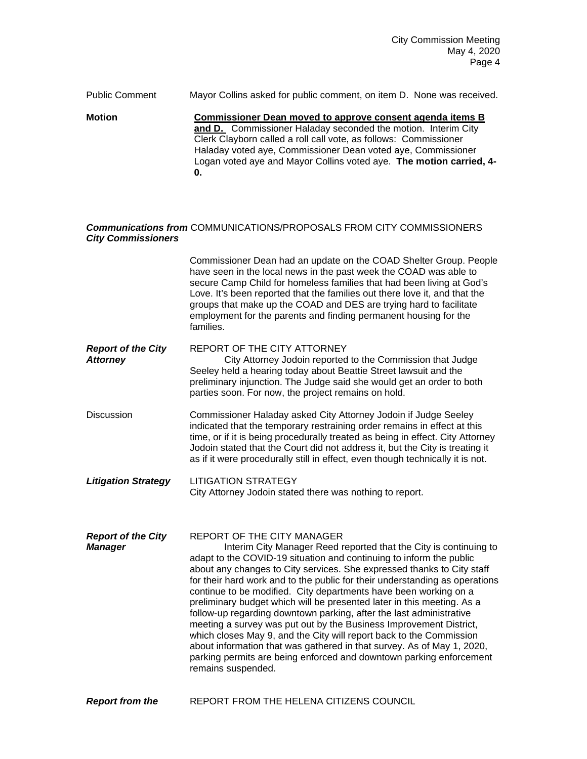Public Comment Mayor Collins asked for public comment, on item D. None was received. **Motion Commissioner Dean moved to approve consent agenda items B** 

**and D.** Commissioner Haladay seconded the motion. Interim City Clerk Clayborn called a roll call vote, as follows: Commissioner Haladay voted aye, Commissioner Dean voted aye, Commissioner Logan voted aye and Mayor Collins voted aye. **The motion carried, 4- 0.**

## *Communications from* COMMUNICATIONS/PROPOSALS FROM CITY COMMISSIONERS *City Commissioners*

Commissioner Dean had an update on the COAD Shelter Group. People have seen in the local news in the past week the COAD was able to secure Camp Child for homeless families that had been living at God's Love. It's been reported that the families out there love it, and that the groups that make up the COAD and DES are trying hard to facilitate employment for the parents and finding permanent housing for the families.

**Report of the City** REPORT OF THE CITY ATTORNEY<br>Attorney **Attorney** City Attorney Jodoin reported **City Attorney Jodoin reported to the Commission that Judge** Seeley held a hearing today about Beattie Street lawsuit and the preliminary injunction. The Judge said she would get an order to both parties soon. For now, the project remains on hold.

Discussion Commissioner Haladay asked City Attorney Jodoin if Judge Seeley indicated that the temporary restraining order remains in effect at this time, or if it is being procedurally treated as being in effect. City Attorney Jodoin stated that the Court did not address it, but the City is treating it as if it were procedurally still in effect, even though technically it is not.

*Litigation Strategy* LITIGATION STRATEGY City Attorney Jodoin stated there was nothing to report.

**Report of the City** REPORT OF THE CITY MANAGER<br>**Manager** Manager Reed r Interim City Manager Reed reported that the City is continuing to adapt to the COVID-19 situation and continuing to inform the public about any changes to City services. She expressed thanks to City staff for their hard work and to the public for their understanding as operations continue to be modified. City departments have been working on a preliminary budget which will be presented later in this meeting. As a follow-up regarding downtown parking, after the last administrative meeting a survey was put out by the Business Improvement District, which closes May 9, and the City will report back to the Commission about information that was gathered in that survey. As of May 1, 2020, parking permits are being enforced and downtown parking enforcement remains suspended.

**Report from the EXELERA THE HELENA CITIZENS COUNCIL**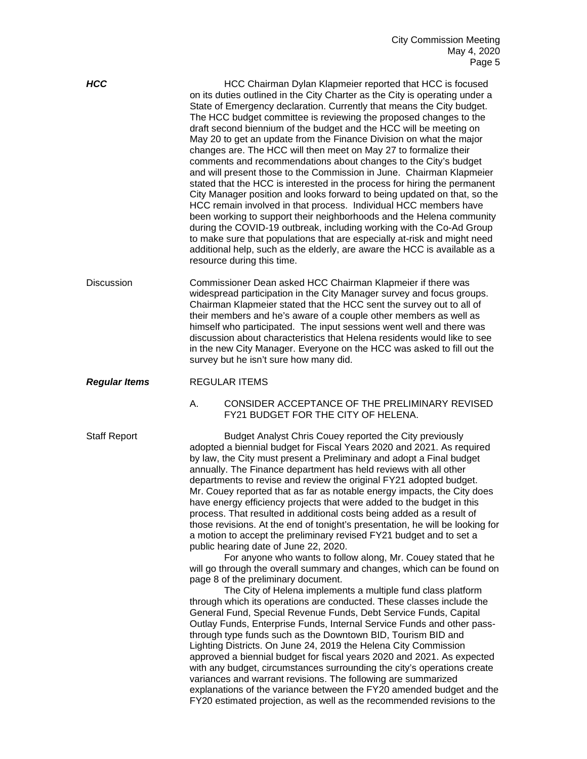**HCC HCC** Chairman Dylan Klapmeier reported that HCC is focused on its duties outlined in the City Charter as the City is operating under a State of Emergency declaration. Currently that means the City budget. The HCC budget committee is reviewing the proposed changes to the draft second biennium of the budget and the HCC will be meeting on May 20 to get an update from the Finance Division on what the major changes are. The HCC will then meet on May 27 to formalize their comments and recommendations about changes to the City's budget and will present those to the Commission in June. Chairman Klapmeier stated that the HCC is interested in the process for hiring the permanent City Manager position and looks forward to being updated on that, so the HCC remain involved in that process. Individual HCC members have been working to support their neighborhoods and the Helena community during the COVID-19 outbreak, including working with the Co-Ad Group to make sure that populations that are especially at-risk and might need additional help, such as the elderly, are aware the HCC is available as a resource during this time. Discussion Commissioner Dean asked HCC Chairman Klapmeier if there was widespread participation in the City Manager survey and focus groups. Chairman Klapmeier stated that the HCC sent the survey out to all of their members and he's aware of a couple other members as well as himself who participated. The input sessions went well and there was discussion about characteristics that Helena residents would like to see in the new City Manager. Everyone on the HCC was asked to fill out the survey but he isn't sure how many did. *Regular Items* REGULAR ITEMS A. CONSIDER ACCEPTANCE OF THE PRELIMINARY REVISED FY21 BUDGET FOR THE CITY OF HELENA. Staff Report **Budget Analyst Chris Couey reported the City previously** adopted a biennial budget for Fiscal Years 2020 and 2021. As required by law, the City must present a Preliminary and adopt a Final budget annually. The Finance department has held reviews with all other departments to revise and review the original FY21 adopted budget. Mr. Couey reported that as far as notable energy impacts, the City does have energy efficiency projects that were added to the budget in this process. That resulted in additional costs being added as a result of those revisions. At the end of tonight's presentation, he will be looking for a motion to accept the preliminary revised FY21 budget and to set a public hearing date of June 22, 2020. For anyone who wants to follow along, Mr. Couey stated that he will go through the overall summary and changes, which can be found on page 8 of the preliminary document. The City of Helena implements a multiple fund class platform through which its operations are conducted. These classes include the General Fund, Special Revenue Funds, Debt Service Funds, Capital Outlay Funds, Enterprise Funds, Internal Service Funds and other passthrough type funds such as the Downtown BID, Tourism BID and Lighting Districts. On June 24, 2019 the Helena City Commission approved a biennial budget for fiscal years 2020 and 2021. As expected with any budget, circumstances surrounding the city's operations create variances and warrant revisions. The following are summarized explanations of the variance between the FY20 amended budget and the

FY20 estimated projection, as well as the recommended revisions to the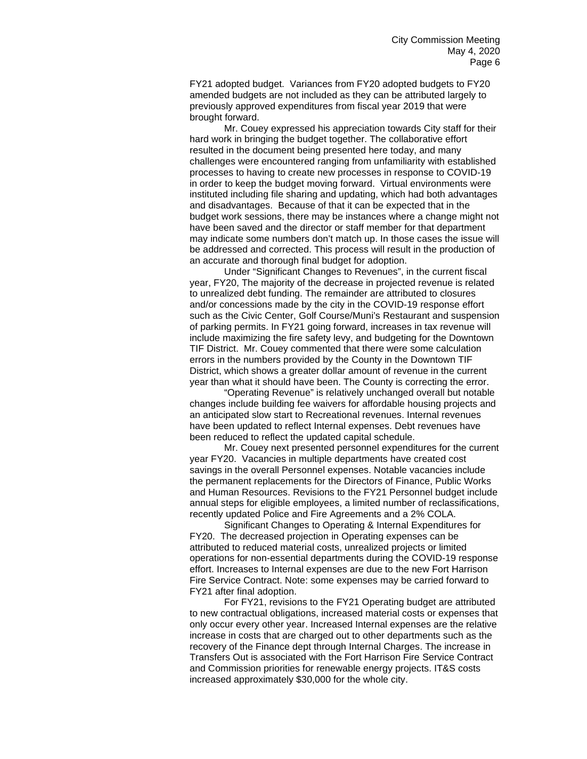FY21 adopted budget. Variances from FY20 adopted budgets to FY20 amended budgets are not included as they can be attributed largely to previously approved expenditures from fiscal year 2019 that were brought forward.

Mr. Couey expressed his appreciation towards City staff for their hard work in bringing the budget together. The collaborative effort resulted in the document being presented here today, and many challenges were encountered ranging from unfamiliarity with established processes to having to create new processes in response to COVID-19 in order to keep the budget moving forward. Virtual environments were instituted including file sharing and updating, which had both advantages and disadvantages. Because of that it can be expected that in the budget work sessions, there may be instances where a change might not have been saved and the director or staff member for that department may indicate some numbers don't match up. In those cases the issue will be addressed and corrected. This process will result in the production of an accurate and thorough final budget for adoption.

Under "Significant Changes to Revenues", in the current fiscal year, FY20, The majority of the decrease in projected revenue is related to unrealized debt funding. The remainder are attributed to closures and/or concessions made by the city in the COVID-19 response effort such as the Civic Center, Golf Course/Muni's Restaurant and suspension of parking permits. In FY21 going forward, increases in tax revenue will include maximizing the fire safety levy, and budgeting for the Downtown TIF District. Mr. Couey commented that there were some calculation errors in the numbers provided by the County in the Downtown TIF District, which shows a greater dollar amount of revenue in the current year than what it should have been. The County is correcting the error.

"Operating Revenue" is relatively unchanged overall but notable changes include building fee waivers for affordable housing projects and an anticipated slow start to Recreational revenues. Internal revenues have been updated to reflect Internal expenses. Debt revenues have been reduced to reflect the updated capital schedule.

Mr. Couey next presented personnel expenditures for the current year FY20. Vacancies in multiple departments have created cost savings in the overall Personnel expenses. Notable vacancies include the permanent replacements for the Directors of Finance, Public Works and Human Resources. Revisions to the FY21 Personnel budget include annual steps for eligible employees, a limited number of reclassifications, recently updated Police and Fire Agreements and a 2% COLA.

Significant Changes to Operating & Internal Expenditures for FY20. The decreased projection in Operating expenses can be attributed to reduced material costs, unrealized projects or limited operations for non-essential departments during the COVID-19 response effort. Increases to Internal expenses are due to the new Fort Harrison Fire Service Contract. Note: some expenses may be carried forward to FY21 after final adoption.

For FY21, revisions to the FY21 Operating budget are attributed to new contractual obligations, increased material costs or expenses that only occur every other year. Increased Internal expenses are the relative increase in costs that are charged out to other departments such as the recovery of the Finance dept through Internal Charges. The increase in Transfers Out is associated with the Fort Harrison Fire Service Contract and Commission priorities for renewable energy projects. IT&S costs increased approximately \$30,000 for the whole city.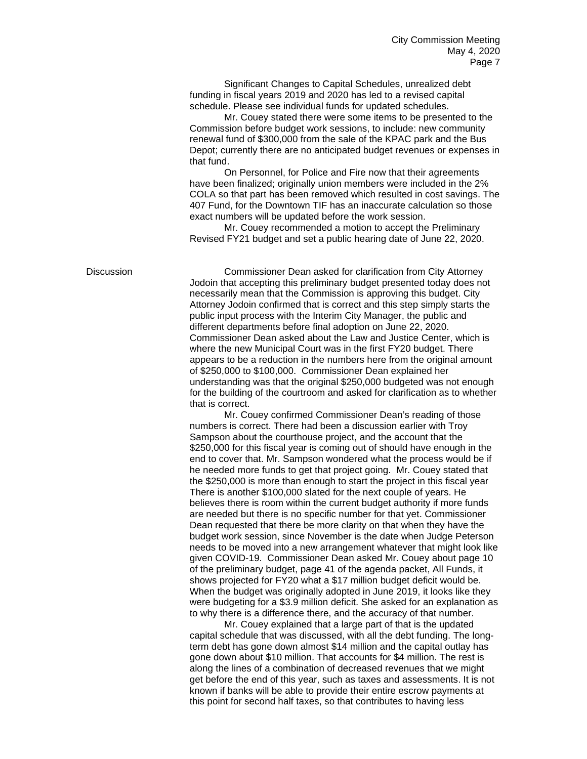Significant Changes to Capital Schedules, unrealized debt funding in fiscal years 2019 and 2020 has led to a revised capital schedule. Please see individual funds for updated schedules.

Mr. Couey stated there were some items to be presented to the Commission before budget work sessions, to include: new community renewal fund of \$300,000 from the sale of the KPAC park and the Bus Depot; currently there are no anticipated budget revenues or expenses in that fund.

On Personnel, for Police and Fire now that their agreements have been finalized; originally union members were included in the 2% COLA so that part has been removed which resulted in cost savings. The 407 Fund, for the Downtown TIF has an inaccurate calculation so those exact numbers will be updated before the work session.

Mr. Couey recommended a motion to accept the Preliminary Revised FY21 budget and set a public hearing date of June 22, 2020.

Discussion Commissioner Dean asked for clarification from City Attorney Jodoin that accepting this preliminary budget presented today does not necessarily mean that the Commission is approving this budget. City Attorney Jodoin confirmed that is correct and this step simply starts the public input process with the Interim City Manager, the public and different departments before final adoption on June 22, 2020. Commissioner Dean asked about the Law and Justice Center, which is where the new Municipal Court was in the first FY20 budget. There appears to be a reduction in the numbers here from the original amount of \$250,000 to \$100,000. Commissioner Dean explained her understanding was that the original \$250,000 budgeted was not enough for the building of the courtroom and asked for clarification as to whether that is correct.

> Mr. Couey confirmed Commissioner Dean's reading of those numbers is correct. There had been a discussion earlier with Troy Sampson about the courthouse project, and the account that the \$250,000 for this fiscal year is coming out of should have enough in the end to cover that. Mr. Sampson wondered what the process would be if he needed more funds to get that project going. Mr. Couey stated that the \$250,000 is more than enough to start the project in this fiscal year There is another \$100,000 slated for the next couple of years. He believes there is room within the current budget authority if more funds are needed but there is no specific number for that yet. Commissioner Dean requested that there be more clarity on that when they have the budget work session, since November is the date when Judge Peterson needs to be moved into a new arrangement whatever that might look like given COVID-19. Commissioner Dean asked Mr. Couey about page 10 of the preliminary budget, page 41 of the agenda packet, All Funds, it shows projected for FY20 what a \$17 million budget deficit would be. When the budget was originally adopted in June 2019, it looks like they were budgeting for a \$3.9 million deficit. She asked for an explanation as to why there is a difference there, and the accuracy of that number.

Mr. Couey explained that a large part of that is the updated capital schedule that was discussed, with all the debt funding. The longterm debt has gone down almost \$14 million and the capital outlay has gone down about \$10 million. That accounts for \$4 million. The rest is along the lines of a combination of decreased revenues that we might get before the end of this year, such as taxes and assessments. It is not known if banks will be able to provide their entire escrow payments at this point for second half taxes, so that contributes to having less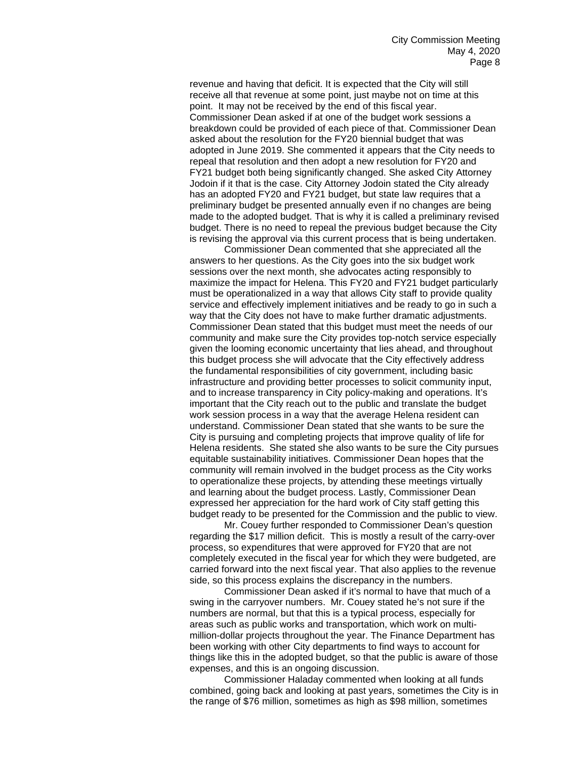revenue and having that deficit. It is expected that the City will still receive all that revenue at some point, just maybe not on time at this point. It may not be received by the end of this fiscal year. Commissioner Dean asked if at one of the budget work sessions a breakdown could be provided of each piece of that. Commissioner Dean asked about the resolution for the FY20 biennial budget that was adopted in June 2019. She commented it appears that the City needs to repeal that resolution and then adopt a new resolution for FY20 and FY21 budget both being significantly changed. She asked City Attorney Jodoin if it that is the case. City Attorney Jodoin stated the City already has an adopted FY20 and FY21 budget, but state law requires that a preliminary budget be presented annually even if no changes are being made to the adopted budget. That is why it is called a preliminary revised budget. There is no need to repeal the previous budget because the City is revising the approval via this current process that is being undertaken.

Commissioner Dean commented that she appreciated all the answers to her questions. As the City goes into the six budget work sessions over the next month, she advocates acting responsibly to maximize the impact for Helena. This FY20 and FY21 budget particularly must be operationalized in a way that allows City staff to provide quality service and effectively implement initiatives and be ready to go in such a way that the City does not have to make further dramatic adjustments. Commissioner Dean stated that this budget must meet the needs of our community and make sure the City provides top-notch service especially given the looming economic uncertainty that lies ahead, and throughout this budget process she will advocate that the City effectively address the fundamental responsibilities of city government, including basic infrastructure and providing better processes to solicit community input, and to increase transparency in City policy-making and operations. It's important that the City reach out to the public and translate the budget work session process in a way that the average Helena resident can understand. Commissioner Dean stated that she wants to be sure the City is pursuing and completing projects that improve quality of life for Helena residents. She stated she also wants to be sure the City pursues equitable sustainability initiatives. Commissioner Dean hopes that the community will remain involved in the budget process as the City works to operationalize these projects, by attending these meetings virtually and learning about the budget process. Lastly, Commissioner Dean expressed her appreciation for the hard work of City staff getting this budget ready to be presented for the Commission and the public to view.

Mr. Couey further responded to Commissioner Dean's question regarding the \$17 million deficit. This is mostly a result of the carry-over process, so expenditures that were approved for FY20 that are not completely executed in the fiscal year for which they were budgeted, are carried forward into the next fiscal year. That also applies to the revenue side, so this process explains the discrepancy in the numbers.

Commissioner Dean asked if it's normal to have that much of a swing in the carryover numbers. Mr. Couey stated he's not sure if the numbers are normal, but that this is a typical process, especially for areas such as public works and transportation, which work on multimillion-dollar projects throughout the year. The Finance Department has been working with other City departments to find ways to account for things like this in the adopted budget, so that the public is aware of those expenses, and this is an ongoing discussion.

Commissioner Haladay commented when looking at all funds combined, going back and looking at past years, sometimes the City is in the range of \$76 million, sometimes as high as \$98 million, sometimes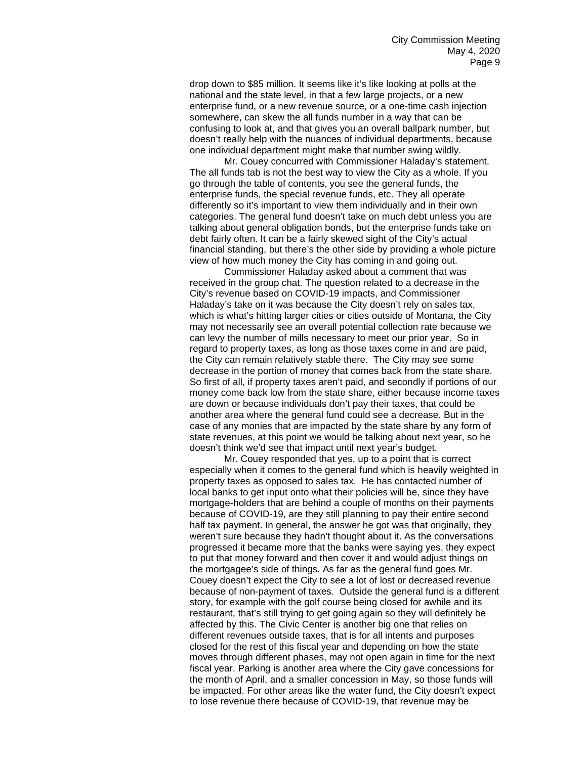drop down to \$85 million. It seems like it's like looking at polls at the national and the state level, in that a few large projects, or a new enterprise fund, or a new revenue source, or a one-time cash injection somewhere, can skew the all funds number in a way that can be confusing to look at, and that gives you an overall ballpark number, but doesn't really help with the nuances of individual departments, because one individual department might make that number swing wildly.

Mr. Couey concurred with Commissioner Haladay's statement. The all funds tab is not the best way to view the City as a whole. If you go through the table of contents, you see the general funds, the enterprise funds, the special revenue funds, etc. They all operate differently so it's important to view them individually and in their own categories. The general fund doesn't take on much debt unless you are talking about general obligation bonds, but the enterprise funds take on debt fairly often. It can be a fairly skewed sight of the City's actual financial standing, but there's the other side by providing a whole picture view of how much money the City has coming in and going out.

Commissioner Haladay asked about a comment that was received in the group chat. The question related to a decrease in the City's revenue based on COVID-19 impacts, and Commissioner Haladay's take on it was because the City doesn't rely on sales tax, which is what's hitting larger cities or cities outside of Montana, the City may not necessarily see an overall potential collection rate because we can levy the number of mills necessary to meet our prior year. So in regard to property taxes, as long as those taxes come in and are paid, the City can remain relatively stable there. The City may see some decrease in the portion of money that comes back from the state share. So first of all, if property taxes aren't paid, and secondly if portions of our money come back low from the state share, either because income taxes are down or because individuals don't pay their taxes, that could be another area where the general fund could see a decrease. But in the case of any monies that are impacted by the state share by any form of state revenues, at this point we would be talking about next year, so he doesn't think we'd see that impact until next year's budget.

Mr. Couey responded that yes, up to a point that is correct especially when it comes to the general fund which is heavily weighted in property taxes as opposed to sales tax. He has contacted number of local banks to get input onto what their policies will be, since they have mortgage-holders that are behind a couple of months on their payments because of COVID-19, are they still planning to pay their entire second half tax payment. In general, the answer he got was that originally, they weren't sure because they hadn't thought about it. As the conversations progressed it became more that the banks were saying yes, they expect to put that money forward and then cover it and would adjust things on the mortgagee's side of things. As far as the general fund goes Mr. Couey doesn't expect the City to see a lot of lost or decreased revenue because of non-payment of taxes. Outside the general fund is a different story, for example with the golf course being closed for awhile and its restaurant, that's still trying to get going again so they will definitely be affected by this. The Civic Center is another big one that relies on different revenues outside taxes, that is for all intents and purposes closed for the rest of this fiscal year and depending on how the state moves through different phases, may not open again in time for the next fiscal year. Parking is another area where the City gave concessions for the month of April, and a smaller concession in May, so those funds will be impacted. For other areas like the water fund, the City doesn't expect to lose revenue there because of COVID-19, that revenue may be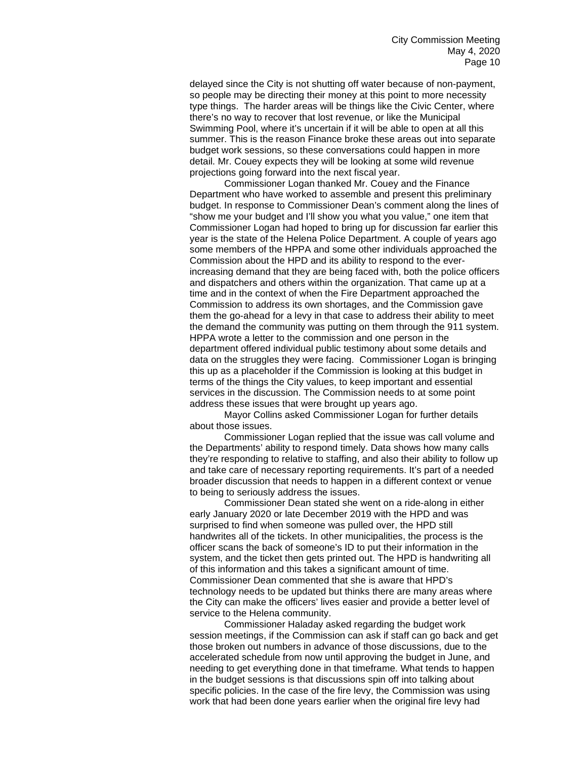delayed since the City is not shutting off water because of non-payment, so people may be directing their money at this point to more necessity type things. The harder areas will be things like the Civic Center, where there's no way to recover that lost revenue, or like the Municipal Swimming Pool, where it's uncertain if it will be able to open at all this summer. This is the reason Finance broke these areas out into separate budget work sessions, so these conversations could happen in more detail. Mr. Couey expects they will be looking at some wild revenue projections going forward into the next fiscal year.

Commissioner Logan thanked Mr. Couey and the Finance Department who have worked to assemble and present this preliminary budget. In response to Commissioner Dean's comment along the lines of "show me your budget and I'll show you what you value," one item that Commissioner Logan had hoped to bring up for discussion far earlier this year is the state of the Helena Police Department. A couple of years ago some members of the HPPA and some other individuals approached the Commission about the HPD and its ability to respond to the everincreasing demand that they are being faced with, both the police officers and dispatchers and others within the organization. That came up at a time and in the context of when the Fire Department approached the Commission to address its own shortages, and the Commission gave them the go-ahead for a levy in that case to address their ability to meet the demand the community was putting on them through the 911 system. HPPA wrote a letter to the commission and one person in the department offered individual public testimony about some details and data on the struggles they were facing. Commissioner Logan is bringing this up as a placeholder if the Commission is looking at this budget in terms of the things the City values, to keep important and essential services in the discussion. The Commission needs to at some point address these issues that were brought up years ago.

Mayor Collins asked Commissioner Logan for further details about those issues.

Commissioner Logan replied that the issue was call volume and the Departments' ability to respond timely. Data shows how many calls they're responding to relative to staffing, and also their ability to follow up and take care of necessary reporting requirements. It's part of a needed broader discussion that needs to happen in a different context or venue to being to seriously address the issues.

Commissioner Dean stated she went on a ride-along in either early January 2020 or late December 2019 with the HPD and was surprised to find when someone was pulled over, the HPD still handwrites all of the tickets. In other municipalities, the process is the officer scans the back of someone's ID to put their information in the system, and the ticket then gets printed out. The HPD is handwriting all of this information and this takes a significant amount of time. Commissioner Dean commented that she is aware that HPD's technology needs to be updated but thinks there are many areas where the City can make the officers' lives easier and provide a better level of service to the Helena community.

Commissioner Haladay asked regarding the budget work session meetings, if the Commission can ask if staff can go back and get those broken out numbers in advance of those discussions, due to the accelerated schedule from now until approving the budget in June, and needing to get everything done in that timeframe. What tends to happen in the budget sessions is that discussions spin off into talking about specific policies. In the case of the fire levy, the Commission was using work that had been done years earlier when the original fire levy had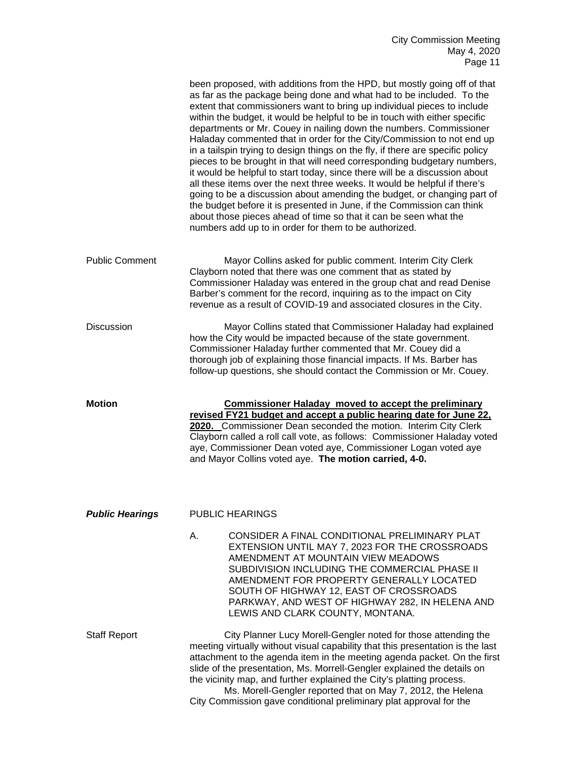|                        | been proposed, with additions from the HPD, but mostly going off of that<br>as far as the package being done and what had to be included. To the<br>extent that commissioners want to bring up individual pieces to include<br>within the budget, it would be helpful to be in touch with either specific<br>departments or Mr. Couey in nailing down the numbers. Commissioner<br>Haladay commented that in order for the City/Commission to not end up<br>in a tailspin trying to design things on the fly, if there are specific policy<br>pieces to be brought in that will need corresponding budgetary numbers,<br>it would be helpful to start today, since there will be a discussion about<br>all these items over the next three weeks. It would be helpful if there's<br>going to be a discussion about amending the budget, or changing part of<br>the budget before it is presented in June, if the Commission can think<br>about those pieces ahead of time so that it can be seen what the<br>numbers add up to in order for them to be authorized. |
|------------------------|--------------------------------------------------------------------------------------------------------------------------------------------------------------------------------------------------------------------------------------------------------------------------------------------------------------------------------------------------------------------------------------------------------------------------------------------------------------------------------------------------------------------------------------------------------------------------------------------------------------------------------------------------------------------------------------------------------------------------------------------------------------------------------------------------------------------------------------------------------------------------------------------------------------------------------------------------------------------------------------------------------------------------------------------------------------------|
| <b>Public Comment</b>  | Mayor Collins asked for public comment. Interim City Clerk<br>Clayborn noted that there was one comment that as stated by<br>Commissioner Haladay was entered in the group chat and read Denise<br>Barber's comment for the record, inquiring as to the impact on City<br>revenue as a result of COVID-19 and associated closures in the City.                                                                                                                                                                                                                                                                                                                                                                                                                                                                                                                                                                                                                                                                                                                     |
| <b>Discussion</b>      | Mayor Collins stated that Commissioner Haladay had explained<br>how the City would be impacted because of the state government.<br>Commissioner Haladay further commented that Mr. Couey did a<br>thorough job of explaining those financial impacts. If Ms. Barber has<br>follow-up questions, she should contact the Commission or Mr. Couey.                                                                                                                                                                                                                                                                                                                                                                                                                                                                                                                                                                                                                                                                                                                    |
| <b>Motion</b>          | <b>Commissioner Haladay moved to accept the preliminary</b><br>revised FY21 budget and accept a public hearing date for June 22.                                                                                                                                                                                                                                                                                                                                                                                                                                                                                                                                                                                                                                                                                                                                                                                                                                                                                                                                   |
|                        | 2020. Commissioner Dean seconded the motion. Interim City Clerk<br>Clayborn called a roll call vote, as follows: Commissioner Haladay voted<br>aye, Commissioner Dean voted aye, Commissioner Logan voted aye<br>and Mayor Collins voted aye. The motion carried, 4-0.                                                                                                                                                                                                                                                                                                                                                                                                                                                                                                                                                                                                                                                                                                                                                                                             |
| <b>Public Hearings</b> | <b>PUBLIC HEARINGS</b>                                                                                                                                                                                                                                                                                                                                                                                                                                                                                                                                                                                                                                                                                                                                                                                                                                                                                                                                                                                                                                             |
|                        | Α.<br>CONSIDER A FINAL CONDITIONAL PRELIMINARY PLAT<br>EXTENSION UNTIL MAY 7, 2023 FOR THE CROSSROADS<br>AMENDMENT AT MOUNTAIN VIEW MEADOWS<br>SUBDIVISION INCLUDING THE COMMERCIAL PHASE II<br>AMENDMENT FOR PROPERTY GENERALLY LOCATED<br>SOUTH OF HIGHWAY 12, EAST OF CROSSROADS<br>PARKWAY, AND WEST OF HIGHWAY 282, IN HELENA AND<br>LEWIS AND CLARK COUNTY, MONTANA.                                                                                                                                                                                                                                                                                                                                                                                                                                                                                                                                                                                                                                                                                         |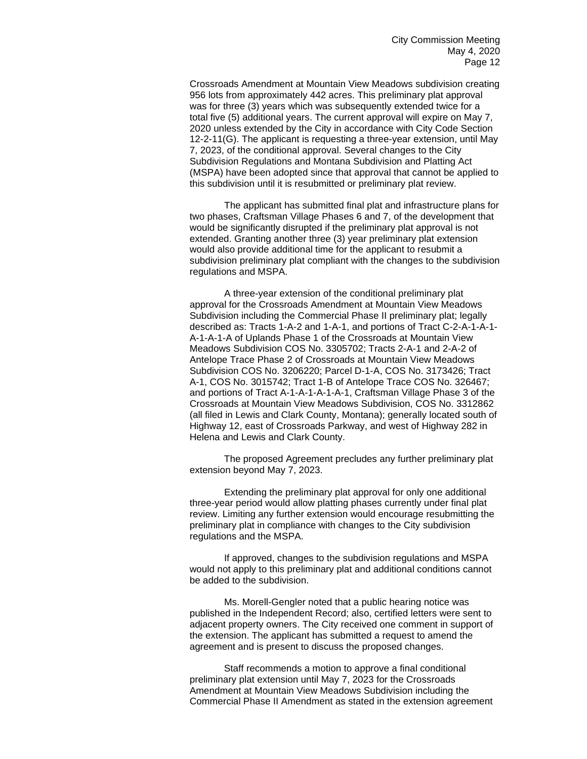Crossroads Amendment at Mountain View Meadows subdivision creating 956 lots from approximately 442 acres. This preliminary plat approval was for three (3) years which was subsequently extended twice for a total five (5) additional years. The current approval will expire on May 7, 2020 unless extended by the City in accordance with City Code Section 12-2-11(G). The applicant is requesting a three-year extension, until May 7, 2023, of the conditional approval. Several changes to the City Subdivision Regulations and Montana Subdivision and Platting Act (MSPA) have been adopted since that approval that cannot be applied to this subdivision until it is resubmitted or preliminary plat review.

The applicant has submitted final plat and infrastructure plans for two phases, Craftsman Village Phases 6 and 7, of the development that would be significantly disrupted if the preliminary plat approval is not extended. Granting another three (3) year preliminary plat extension would also provide additional time for the applicant to resubmit a subdivision preliminary plat compliant with the changes to the subdivision regulations and MSPA.

A three-year extension of the conditional preliminary plat approval for the Crossroads Amendment at Mountain View Meadows Subdivision including the Commercial Phase II preliminary plat; legally described as: Tracts 1-A-2 and 1-A-1, and portions of Tract C-2-A-1-A-1- A-1-A-1-A of Uplands Phase 1 of the Crossroads at Mountain View Meadows Subdivision COS No. 3305702; Tracts 2-A-1 and 2-A-2 of Antelope Trace Phase 2 of Crossroads at Mountain View Meadows Subdivision COS No. 3206220; Parcel D-1-A, COS No. 3173426; Tract A-1, COS No. 3015742; Tract 1-B of Antelope Trace COS No. 326467; and portions of Tract A-1-A-1-A-1-A-1, Craftsman Village Phase 3 of the Crossroads at Mountain View Meadows Subdivision, COS No. 3312862 (all filed in Lewis and Clark County, Montana); generally located south of Highway 12, east of Crossroads Parkway, and west of Highway 282 in Helena and Lewis and Clark County.

The proposed Agreement precludes any further preliminary plat extension beyond May 7, 2023.

Extending the preliminary plat approval for only one additional three-year period would allow platting phases currently under final plat review. Limiting any further extension would encourage resubmitting the preliminary plat in compliance with changes to the City subdivision regulations and the MSPA.

If approved, changes to the subdivision regulations and MSPA would not apply to this preliminary plat and additional conditions cannot be added to the subdivision.

Ms. Morell-Gengler noted that a public hearing notice was published in the Independent Record; also, certified letters were sent to adjacent property owners. The City received one comment in support of the extension. The applicant has submitted a request to amend the agreement and is present to discuss the proposed changes.

Staff recommends a motion to approve a final conditional preliminary plat extension until May 7, 2023 for the Crossroads Amendment at Mountain View Meadows Subdivision including the Commercial Phase II Amendment as stated in the extension agreement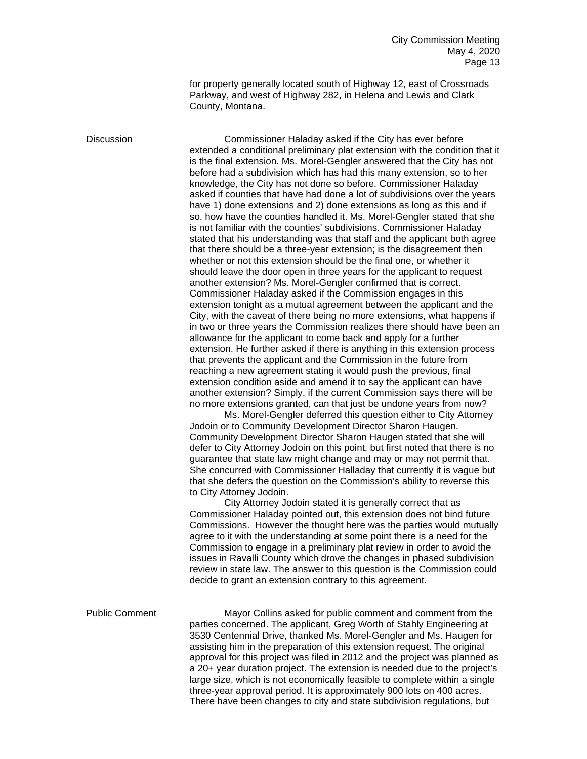for property generally located south of Highway 12, east of Crossroads Parkway, and west of Highway 282, in Helena and Lewis and Clark County, Montana.

Discussion Commissioner Haladay asked if the City has ever before extended a conditional preliminary plat extension with the condition that it is the final extension. Ms. Morel-Gengler answered that the City has not before had a subdivision which has had this many extension, so to her knowledge, the City has not done so before. Commissioner Haladay asked if counties that have had done a lot of subdivisions over the years have 1) done extensions and 2) done extensions as long as this and if so, how have the counties handled it. Ms. Morel-Gengler stated that she is not familiar with the counties' subdivisions. Commissioner Haladay stated that his understanding was that staff and the applicant both agree that there should be a three-year extension; is the disagreement then whether or not this extension should be the final one, or whether it should leave the door open in three years for the applicant to request another extension? Ms. Morel-Gengler confirmed that is correct. Commissioner Haladay asked if the Commission engages in this extension tonight as a mutual agreement between the applicant and the City, with the caveat of there being no more extensions, what happens if in two or three years the Commission realizes there should have been an allowance for the applicant to come back and apply for a further extension. He further asked if there is anything in this extension process that prevents the applicant and the Commission in the future from reaching a new agreement stating it would push the previous, final extension condition aside and amend it to say the applicant can have another extension? Simply, if the current Commission says there will be no more extensions granted, can that just be undone years from now?

Ms. Morel-Gengler deferred this question either to City Attorney Jodoin or to Community Development Director Sharon Haugen. Community Development Director Sharon Haugen stated that she will defer to City Attorney Jodoin on this point, but first noted that there is no guarantee that state law might change and may or may not permit that. She concurred with Commissioner Halladay that currently it is vague but that she defers the question on the Commission's ability to reverse this to City Attorney Jodoin.

City Attorney Jodoin stated it is generally correct that as Commissioner Haladay pointed out, this extension does not bind future Commissions. However the thought here was the parties would mutually agree to it with the understanding at some point there is a need for the Commission to engage in a preliminary plat review in order to avoid the issues in Ravalli County which drove the changes in phased subdivision review in state law. The answer to this question is the Commission could decide to grant an extension contrary to this agreement.

Public Comment Mayor Collins asked for public comment and comment from the parties concerned. The applicant, Greg Worth of Stahly Engineering at 3530 Centennial Drive, thanked Ms. Morel-Gengler and Ms. Haugen for assisting him in the preparation of this extension request. The original approval for this project was filed in 2012 and the project was planned as a 20+ year duration project. The extension is needed due to the project's large size, which is not economically feasible to complete within a single three-year approval period. It is approximately 900 lots on 400 acres. There have been changes to city and state subdivision regulations, but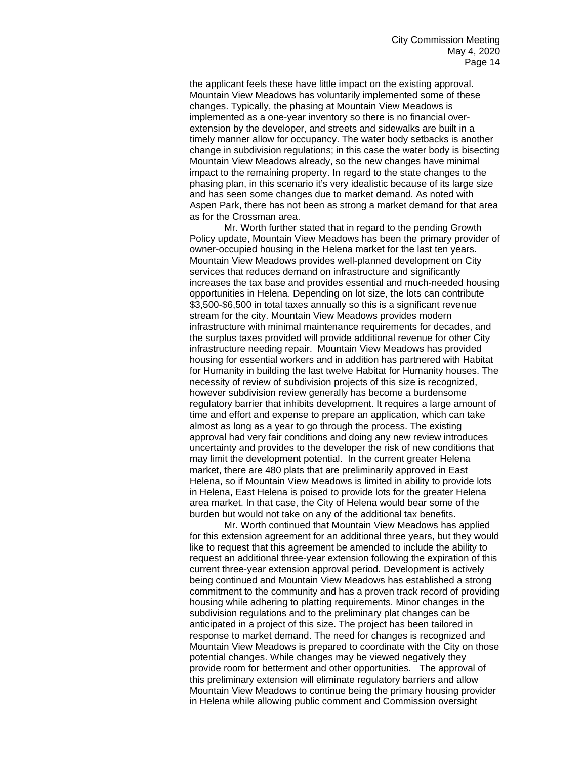the applicant feels these have little impact on the existing approval. Mountain View Meadows has voluntarily implemented some of these changes. Typically, the phasing at Mountain View Meadows is implemented as a one-year inventory so there is no financial overextension by the developer, and streets and sidewalks are built in a timely manner allow for occupancy. The water body setbacks is another change in subdivision regulations; in this case the water body is bisecting Mountain View Meadows already, so the new changes have minimal impact to the remaining property. In regard to the state changes to the phasing plan, in this scenario it's very idealistic because of its large size and has seen some changes due to market demand. As noted with Aspen Park, there has not been as strong a market demand for that area as for the Crossman area.

Mr. Worth further stated that in regard to the pending Growth Policy update, Mountain View Meadows has been the primary provider of owner-occupied housing in the Helena market for the last ten years. Mountain View Meadows provides well-planned development on City services that reduces demand on infrastructure and significantly increases the tax base and provides essential and much-needed housing opportunities in Helena. Depending on lot size, the lots can contribute \$3,500-\$6,500 in total taxes annually so this is a significant revenue stream for the city. Mountain View Meadows provides modern infrastructure with minimal maintenance requirements for decades, and the surplus taxes provided will provide additional revenue for other City infrastructure needing repair. Mountain View Meadows has provided housing for essential workers and in addition has partnered with Habitat for Humanity in building the last twelve Habitat for Humanity houses. The necessity of review of subdivision projects of this size is recognized, however subdivision review generally has become a burdensome regulatory barrier that inhibits development. It requires a large amount of time and effort and expense to prepare an application, which can take almost as long as a year to go through the process. The existing approval had very fair conditions and doing any new review introduces uncertainty and provides to the developer the risk of new conditions that may limit the development potential. In the current greater Helena market, there are 480 plats that are preliminarily approved in East Helena, so if Mountain View Meadows is limited in ability to provide lots in Helena, East Helena is poised to provide lots for the greater Helena area market. In that case, the City of Helena would bear some of the burden but would not take on any of the additional tax benefits.

Mr. Worth continued that Mountain View Meadows has applied for this extension agreement for an additional three years, but they would like to request that this agreement be amended to include the ability to request an additional three-year extension following the expiration of this current three-year extension approval period. Development is actively being continued and Mountain View Meadows has established a strong commitment to the community and has a proven track record of providing housing while adhering to platting requirements. Minor changes in the subdivision regulations and to the preliminary plat changes can be anticipated in a project of this size. The project has been tailored in response to market demand. The need for changes is recognized and Mountain View Meadows is prepared to coordinate with the City on those potential changes. While changes may be viewed negatively they provide room for betterment and other opportunities. The approval of this preliminary extension will eliminate regulatory barriers and allow Mountain View Meadows to continue being the primary housing provider in Helena while allowing public comment and Commission oversight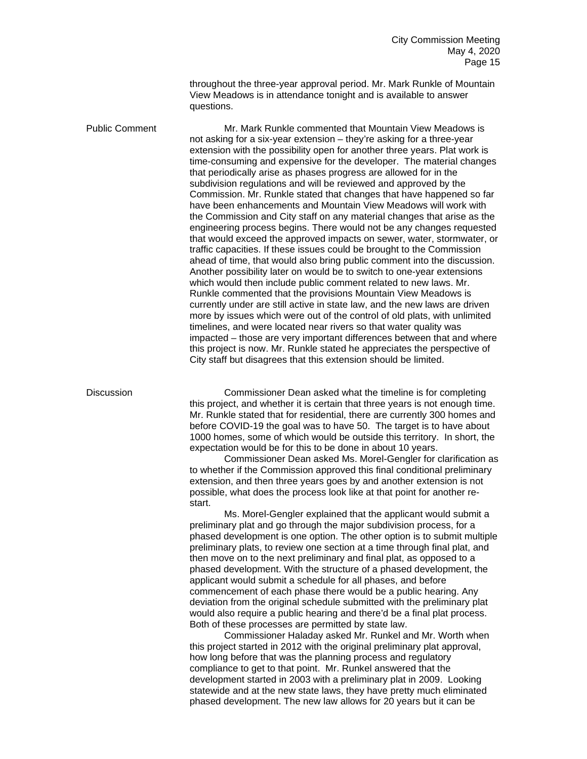throughout the three-year approval period. Mr. Mark Runkle of Mountain View Meadows is in attendance tonight and is available to answer questions.

Public Comment Mr. Mark Runkle commented that Mountain View Meadows is not asking for a six-year extension – they're asking for a three-year extension with the possibility open for another three years. Plat work is time-consuming and expensive for the developer. The material changes that periodically arise as phases progress are allowed for in the subdivision regulations and will be reviewed and approved by the Commission. Mr. Runkle stated that changes that have happened so far have been enhancements and Mountain View Meadows will work with the Commission and City staff on any material changes that arise as the engineering process begins. There would not be any changes requested that would exceed the approved impacts on sewer, water, stormwater, or traffic capacities. If these issues could be brought to the Commission ahead of time, that would also bring public comment into the discussion. Another possibility later on would be to switch to one-year extensions which would then include public comment related to new laws. Mr. Runkle commented that the provisions Mountain View Meadows is currently under are still active in state law, and the new laws are driven more by issues which were out of the control of old plats, with unlimited timelines, and were located near rivers so that water quality was impacted – those are very important differences between that and where this project is now. Mr. Runkle stated he appreciates the perspective of City staff but disagrees that this extension should be limited.

Discussion Commissioner Dean asked what the timeline is for completing this project, and whether it is certain that three years is not enough time. Mr. Runkle stated that for residential, there are currently 300 homes and before COVID-19 the goal was to have 50. The target is to have about 1000 homes, some of which would be outside this territory. In short, the expectation would be for this to be done in about 10 years.

Commissioner Dean asked Ms. Morel-Gengler for clarification as to whether if the Commission approved this final conditional preliminary extension, and then three years goes by and another extension is not possible, what does the process look like at that point for another restart.

Ms. Morel-Gengler explained that the applicant would submit a preliminary plat and go through the major subdivision process, for a phased development is one option. The other option is to submit multiple preliminary plats, to review one section at a time through final plat, and then move on to the next preliminary and final plat, as opposed to a phased development. With the structure of a phased development, the applicant would submit a schedule for all phases, and before commencement of each phase there would be a public hearing. Any deviation from the original schedule submitted with the preliminary plat would also require a public hearing and there'd be a final plat process. Both of these processes are permitted by state law.

Commissioner Haladay asked Mr. Runkel and Mr. Worth when this project started in 2012 with the original preliminary plat approval, how long before that was the planning process and regulatory compliance to get to that point. Mr. Runkel answered that the development started in 2003 with a preliminary plat in 2009. Looking statewide and at the new state laws, they have pretty much eliminated phased development. The new law allows for 20 years but it can be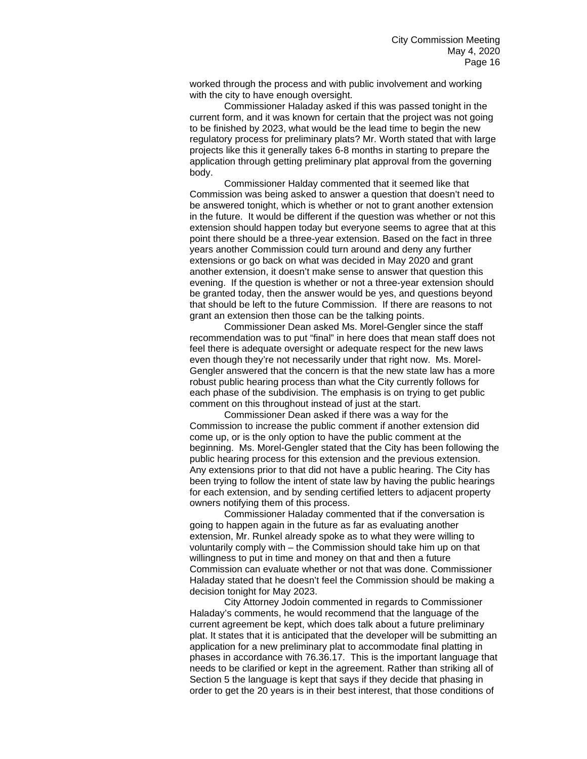worked through the process and with public involvement and working with the city to have enough oversight.

Commissioner Haladay asked if this was passed tonight in the current form, and it was known for certain that the project was not going to be finished by 2023, what would be the lead time to begin the new regulatory process for preliminary plats? Mr. Worth stated that with large projects like this it generally takes 6-8 months in starting to prepare the application through getting preliminary plat approval from the governing body.

Commissioner Halday commented that it seemed like that Commission was being asked to answer a question that doesn't need to be answered tonight, which is whether or not to grant another extension in the future. It would be different if the question was whether or not this extension should happen today but everyone seems to agree that at this point there should be a three-year extension. Based on the fact in three years another Commission could turn around and deny any further extensions or go back on what was decided in May 2020 and grant another extension, it doesn't make sense to answer that question this evening. If the question is whether or not a three-year extension should be granted today, then the answer would be yes, and questions beyond that should be left to the future Commission. If there are reasons to not grant an extension then those can be the talking points.

Commissioner Dean asked Ms. Morel-Gengler since the staff recommendation was to put "final" in here does that mean staff does not feel there is adequate oversight or adequate respect for the new laws even though they're not necessarily under that right now. Ms. Morel-Gengler answered that the concern is that the new state law has a more robust public hearing process than what the City currently follows for each phase of the subdivision. The emphasis is on trying to get public comment on this throughout instead of just at the start.

Commissioner Dean asked if there was a way for the Commission to increase the public comment if another extension did come up, or is the only option to have the public comment at the beginning. Ms. Morel-Gengler stated that the City has been following the public hearing process for this extension and the previous extension. Any extensions prior to that did not have a public hearing. The City has been trying to follow the intent of state law by having the public hearings for each extension, and by sending certified letters to adjacent property owners notifying them of this process.

Commissioner Haladay commented that if the conversation is going to happen again in the future as far as evaluating another extension, Mr. Runkel already spoke as to what they were willing to voluntarily comply with – the Commission should take him up on that willingness to put in time and money on that and then a future Commission can evaluate whether or not that was done. Commissioner Haladay stated that he doesn't feel the Commission should be making a decision tonight for May 2023.

City Attorney Jodoin commented in regards to Commissioner Haladay's comments, he would recommend that the language of the current agreement be kept, which does talk about a future preliminary plat. It states that it is anticipated that the developer will be submitting an application for a new preliminary plat to accommodate final platting in phases in accordance with 76.36.17. This is the important language that needs to be clarified or kept in the agreement. Rather than striking all of Section 5 the language is kept that says if they decide that phasing in order to get the 20 years is in their best interest, that those conditions of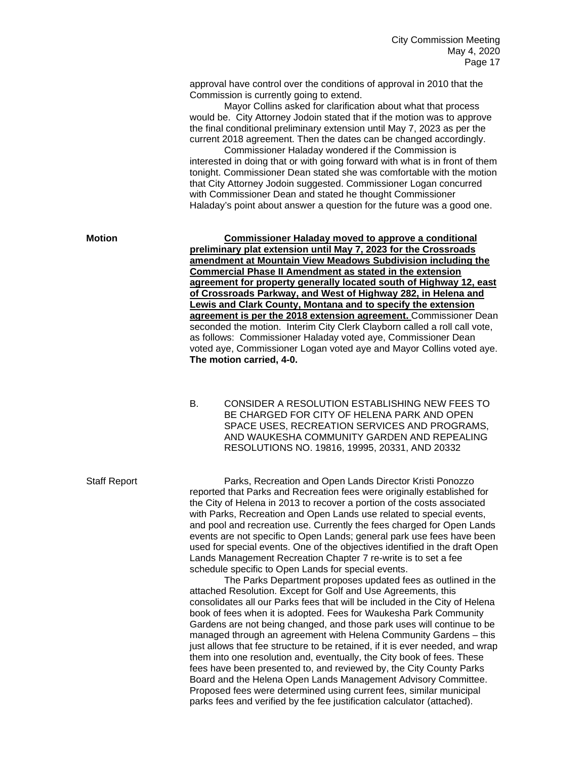approval have control over the conditions of approval in 2010 that the Commission is currently going to extend.

Mayor Collins asked for clarification about what that process would be. City Attorney Jodoin stated that if the motion was to approve the final conditional preliminary extension until May 7, 2023 as per the current 2018 agreement. Then the dates can be changed accordingly.

Commissioner Haladay wondered if the Commission is interested in doing that or with going forward with what is in front of them tonight. Commissioner Dean stated she was comfortable with the motion that City Attorney Jodoin suggested. Commissioner Logan concurred with Commissioner Dean and stated he thought Commissioner Haladay's point about answer a question for the future was a good one.

**Motion Commissioner Haladay moved to approve a conditional preliminary plat extension until May 7, 2023 for the Crossroads amendment at Mountain View Meadows Subdivision including the Commercial Phase II Amendment as stated in the extension agreement for property generally located south of Highway 12, east of Crossroads Parkway, and West of Highway 282, in Helena and Lewis and Clark County, Montana and to specify the extension agreement is per the 2018 extension agreement.** Commissioner Dean seconded the motion. Interim City Clerk Clayborn called a roll call vote, as follows: Commissioner Haladay voted aye, Commissioner Dean voted aye, Commissioner Logan voted aye and Mayor Collins voted aye. **The motion carried, 4-0.**

> B. CONSIDER A RESOLUTION ESTABLISHING NEW FEES TO BE CHARGED FOR CITY OF HELENA PARK AND OPEN SPACE USES, RECREATION SERVICES AND PROGRAMS, AND WAUKESHA COMMUNITY GARDEN AND REPEALING RESOLUTIONS NO. 19816, 19995, 20331, AND 20332

Staff Report Parks, Recreation and Open Lands Director Kristi Ponozzo reported that Parks and Recreation fees were originally established for the City of Helena in 2013 to recover a portion of the costs associated with Parks, Recreation and Open Lands use related to special events, and pool and recreation use. Currently the fees charged for Open Lands events are not specific to Open Lands; general park use fees have been used for special events. One of the objectives identified in the draft Open Lands Management Recreation Chapter 7 re-write is to set a fee schedule specific to Open Lands for special events.

> The Parks Department proposes updated fees as outlined in the attached Resolution. Except for Golf and Use Agreements, this consolidates all our Parks fees that will be included in the City of Helena book of fees when it is adopted. Fees for Waukesha Park Community Gardens are not being changed, and those park uses will continue to be managed through an agreement with Helena Community Gardens – this just allows that fee structure to be retained, if it is ever needed, and wrap them into one resolution and, eventually, the City book of fees. These fees have been presented to, and reviewed by, the City County Parks Board and the Helena Open Lands Management Advisory Committee. Proposed fees were determined using current fees, similar municipal parks fees and verified by the fee justification calculator (attached).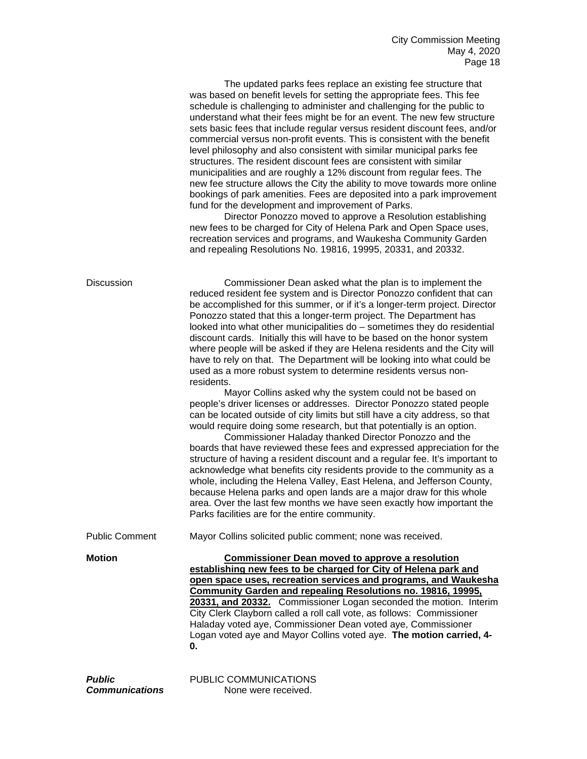The updated parks fees replace an existing fee structure that was based on benefit levels for setting the appropriate fees. This fee schedule is challenging to administer and challenging for the public to understand what their fees might be for an event. The new few structure sets basic fees that include regular versus resident discount fees, and/or commercial versus non-profit events. This is consistent with the benefit level philosophy and also consistent with similar municipal parks fee structures. The resident discount fees are consistent with similar municipalities and are roughly a 12% discount from regular fees. The new fee structure allows the City the ability to move towards more online bookings of park amenities. Fees are deposited into a park improvement fund for the development and improvement of Parks.

Director Ponozzo moved to approve a Resolution establishing new fees to be charged for City of Helena Park and Open Space uses, recreation services and programs, and Waukesha Community Garden and repealing Resolutions No. 19816, 19995, 20331, and 20332.

| <b>Discussion</b>     | Commissioner Dean asked what the plan is to implement the<br>reduced resident fee system and is Director Ponozzo confident that can<br>be accomplished for this summer, or if it's a longer-term project. Director<br>Ponozzo stated that this a longer-term project. The Department has<br>looked into what other municipalities do - sometimes they do residential<br>discount cards. Initially this will have to be based on the honor system<br>where people will be asked if they are Helena residents and the City will<br>have to rely on that. The Department will be looking into what could be<br>used as a more robust system to determine residents versus non-<br>residents.<br>Mayor Collins asked why the system could not be based on<br>people's driver licenses or addresses. Director Ponozzo stated people<br>can be located outside of city limits but still have a city address, so that<br>would require doing some research, but that potentially is an option.<br>Commissioner Haladay thanked Director Ponozzo and the<br>boards that have reviewed these fees and expressed appreciation for the<br>structure of having a resident discount and a regular fee. It's important to<br>acknowledge what benefits city residents provide to the community as a<br>whole, including the Helena Valley, East Helena, and Jefferson County,<br>because Helena parks and open lands are a major draw for this whole<br>area. Over the last few months we have seen exactly how important the<br>Parks facilities are for the entire community. |
|-----------------------|-------------------------------------------------------------------------------------------------------------------------------------------------------------------------------------------------------------------------------------------------------------------------------------------------------------------------------------------------------------------------------------------------------------------------------------------------------------------------------------------------------------------------------------------------------------------------------------------------------------------------------------------------------------------------------------------------------------------------------------------------------------------------------------------------------------------------------------------------------------------------------------------------------------------------------------------------------------------------------------------------------------------------------------------------------------------------------------------------------------------------------------------------------------------------------------------------------------------------------------------------------------------------------------------------------------------------------------------------------------------------------------------------------------------------------------------------------------------------------------------------------------------------------------------------------------------|
| <b>Public Comment</b> | Mayor Collins solicited public comment; none was received.                                                                                                                                                                                                                                                                                                                                                                                                                                                                                                                                                                                                                                                                                                                                                                                                                                                                                                                                                                                                                                                                                                                                                                                                                                                                                                                                                                                                                                                                                                        |
| <b>Motion</b>         | <b>Commissioner Dean moved to approve a resolution</b><br>establishing new fees to be charged for City of Helena park and<br>open space uses, recreation services and programs, and Waukesha<br>Community Garden and repealing Resolutions no. 19816, 19995,<br>20331, and 20332. Commissioner Logan seconded the motion. Interim<br>City Clerk Clayborn called a roll call vote, as follows: Commissioner<br>Haladay voted aye, Commissioner Dean voted aye, Commissioner<br>Logan voted aye and Mayor Collins voted aye. The motion carried, 4-<br>0.                                                                                                                                                                                                                                                                                                                                                                                                                                                                                                                                                                                                                                                                                                                                                                                                                                                                                                                                                                                                           |
| n. . L I : .          | <b>DUDLIO OOMMIINIIO ATIONIO</b>                                                                                                                                                                                                                                                                                                                                                                                                                                                                                                                                                                                                                                                                                                                                                                                                                                                                                                                                                                                                                                                                                                                                                                                                                                                                                                                                                                                                                                                                                                                                  |

**Public** PUBLIC COMMUNICATIONS **Communications** None were received.